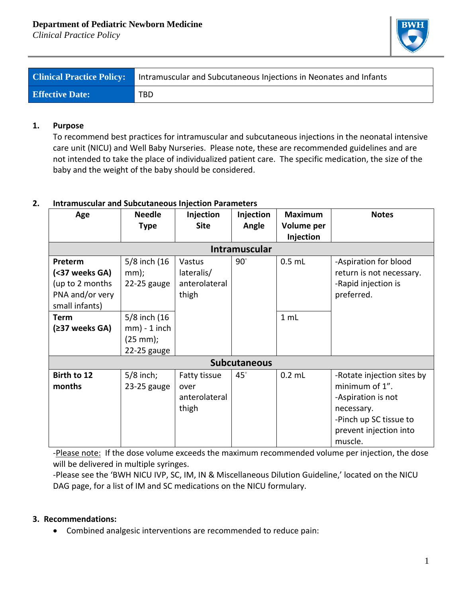*Clinical Practice Policy*



| <b>Clinical Practice Policy:</b> | Intramuscular and Subcutaneous Injections in Neonates and Infants |
|----------------------------------|-------------------------------------------------------------------|
| <b>Effective Date:</b>           | TBD                                                               |

## **1. Purpose**

To recommend best practices for intramuscular and subcutaneous injections in the neonatal intensive care unit (NICU) and Well Baby Nurseries. Please note, these are recommended guidelines and are not intended to take the place of individualized patient care. The specific medication, the size of the baby and the weight of the baby should be considered.

## **2. Intramuscular and Subcutaneous Injection Parameters**

| Age                  | <b>Needle</b>         | Injection     | Injection  | <b>Maximum</b> | <b>Notes</b>               |  |
|----------------------|-----------------------|---------------|------------|----------------|----------------------------|--|
|                      | <b>Type</b>           | <b>Site</b>   | Angle      | Volume per     |                            |  |
|                      |                       |               |            | Injection      |                            |  |
| <b>Intramuscular</b> |                       |               |            |                |                            |  |
| Preterm              | 5/8 inch (16          | Vastus        | $90^\circ$ | $0.5$ mL       | -Aspiration for blood      |  |
| (<37 weeks GA)       | mm);                  | lateralis/    |            |                | return is not necessary.   |  |
| (up to 2 months      | $22-25$ gauge         | anterolateral |            |                | -Rapid injection is        |  |
| PNA and/or very      |                       | thigh         |            |                | preferred.                 |  |
| small infants)       |                       |               |            |                |                            |  |
| <b>Term</b>          | 5/8 inch (16          |               |            | 1 mL           |                            |  |
| (≥37 weeks GA)       | $mm$ ) - 1 inch       |               |            |                |                            |  |
|                      | $(25 \, \text{mm})$ ; |               |            |                |                            |  |
|                      | 22-25 gauge           |               |            |                |                            |  |
| <b>Subcutaneous</b>  |                       |               |            |                |                            |  |
| Birth to 12          | $5/8$ inch;           | Fatty tissue  | $45^\circ$ | $0.2$ mL       | -Rotate injection sites by |  |
| months               | 23-25 gauge           | over          |            |                | minimum of 1".             |  |
|                      |                       | anterolateral |            |                | -Aspiration is not         |  |
|                      |                       | thigh         |            |                | necessary.                 |  |
|                      |                       |               |            |                | -Pinch up SC tissue to     |  |
|                      |                       |               |            |                | prevent injection into     |  |
|                      |                       |               |            |                | muscle.                    |  |

-Please note: If the dose volume exceeds the maximum recommended volume per injection, the dose will be delivered in multiple syringes.

-Please see the 'BWH NICU IVP, SC, IM, IN & Miscellaneous Dilution Guideline,' located on the NICU DAG page, for a list of IM and SC medications on the NICU formulary.

## **3. Recommendations:**

• Combined analgesic interventions are recommended to reduce pain: